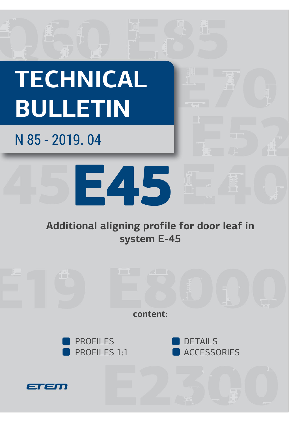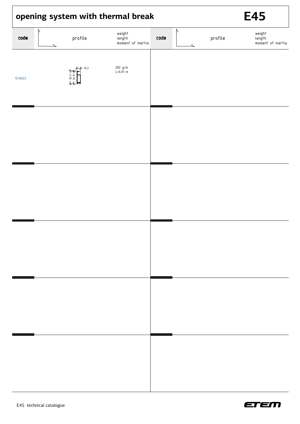| opening system with thermal break |                         |                                       |      |               |         | <b>E45</b>                            |  |
|-----------------------------------|-------------------------|---------------------------------------|------|---------------|---------|---------------------------------------|--|
| code                              | profile<br>$x_{-}$      | weight<br>length<br>moment of inertia | code | ÎУ<br>$x_{-}$ | profile | weight<br>length<br>moment of inertia |  |
| E40622                            | 米米 10.3<br>$*$ 36.3 $*$ | 282 g/m<br>L=6.01 m                   |      |               |         |                                       |  |
|                                   |                         |                                       |      |               |         |                                       |  |
|                                   |                         |                                       |      |               |         |                                       |  |
|                                   |                         |                                       |      |               |         |                                       |  |
|                                   |                         |                                       |      |               |         |                                       |  |
|                                   |                         |                                       |      |               |         |                                       |  |
|                                   |                         |                                       |      |               |         |                                       |  |
|                                   |                         |                                       |      |               |         |                                       |  |

 $\overline{1}$ 



٦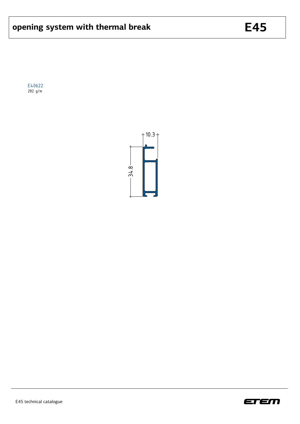E40622 282 g/m



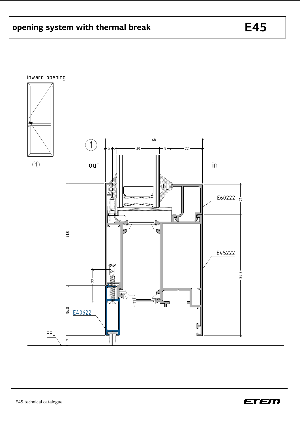



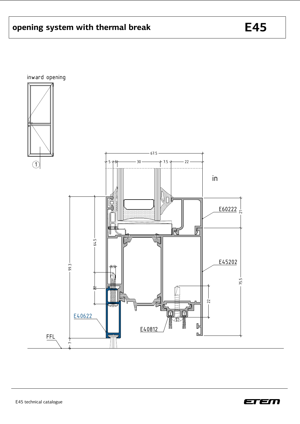

**E45**

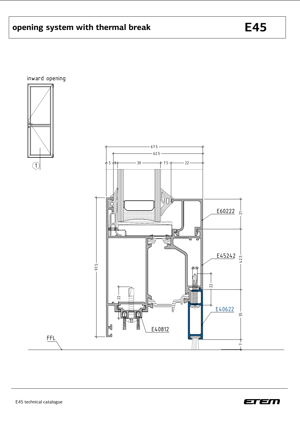

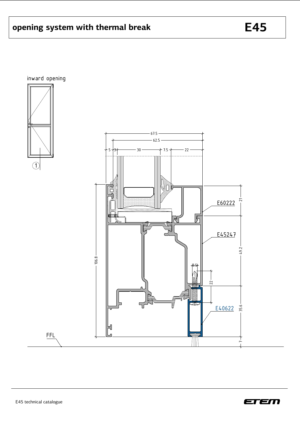

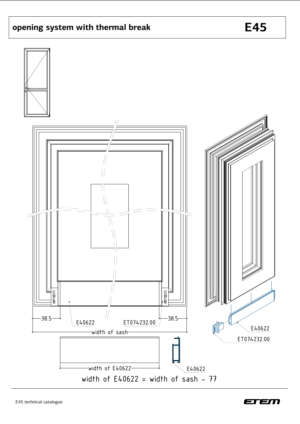